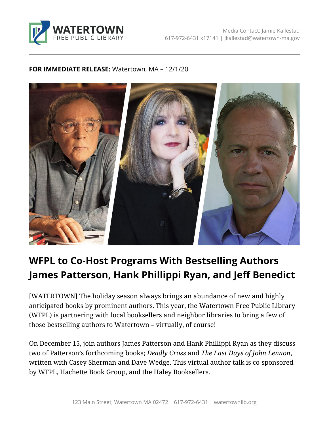

## **FOR IMMEDIATE RELEASE:** Watertown, MA – 12/1/20



## **WFPL to Co-Host Programs With Bestselling Authors James Patterson, Hank Phillippi Ryan, and Jeff Benedict**

[WATERTOWN] The holiday season always brings an abundance of new and highly anticipated books by prominent authors. This year, the Watertown Free Public Library (WFPL) is partnering with local booksellers and neighbor libraries to bring a few of those bestselling authors to Watertown – virtually, of course!

On December 15, join authors James Patterson and Hank Phillippi Ryan as they discuss two of Patterson's forthcoming books; *Deadly Cross* and *The Last Days of John Lennon*, written with Casey Sherman and Dave Wedge. This virtual author talk is co-sponsored by WFPL, Hachette Book Group, and the Haley Booksellers.